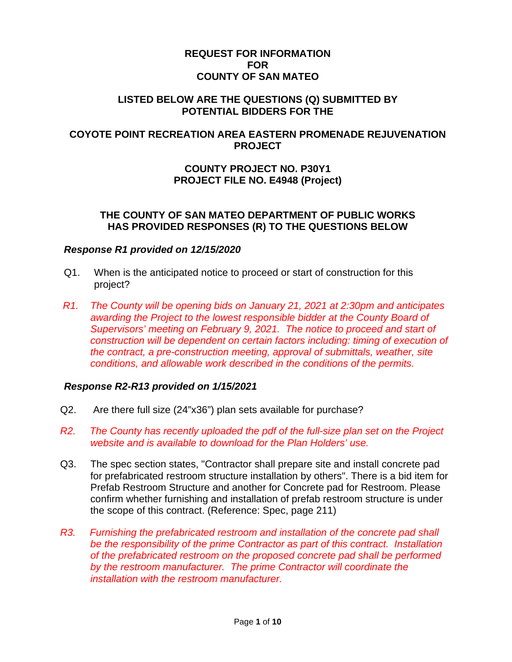### **REQUEST FOR INFORMATION FOR COUNTY OF SAN MATEO**

### **LISTED BELOW ARE THE QUESTIONS (Q) SUBMITTED BY POTENTIAL BIDDERS FOR THE**

## **COYOTE POINT RECREATION AREA EASTERN PROMENADE REJUVENATION PROJECT**

# **COUNTY PROJECT NO. P30Y1 PROJECT FILE NO. E4948 (Project)**

### **THE COUNTY OF SAN MATEO DEPARTMENT OF PUBLIC WORKS HAS PROVIDED RESPONSES (R) TO THE QUESTIONS BELOW**

#### *Response R1 provided on 12/15/2020*

- Q1. When is the anticipated notice to proceed or start of construction for this project?
- *R1. The County will be opening bids on January 21, 2021 at 2:30pm and anticipates awarding the Project to the lowest responsible bidder at the County Board of Supervisors' meeting on February 9, 2021. The notice to proceed and start of construction will be dependent on certain factors including: timing of execution of the contract, a pre-construction meeting, approval of submittals, weather, site conditions, and allowable work described in the conditions of the permits.*

## *Response R2-R13 provided on 1/15/2021*

- Q2. Are there full size (24"x36") plan sets available for purchase?
- *R2. The County has recently uploaded the pdf of the full-size plan set on the Project website and is available to download for the Plan Holders' use.*
- Q3. The spec section states, "Contractor shall prepare site and install concrete pad for prefabricated restroom structure installation by others". There is a bid item for Prefab Restroom Structure and another for Concrete pad for Restroom. Please confirm whether furnishing and installation of prefab restroom structure is under the scope of this contract. (Reference: Spec, page 211)
- *R3. Furnishing the prefabricated restroom and installation of the concrete pad shall be the responsibility of the prime Contractor as part of this contract. Installation of the prefabricated restroom on the proposed concrete pad shall be performed by the restroom manufacturer. The prime Contractor will coordinate the installation with the restroom manufacturer.*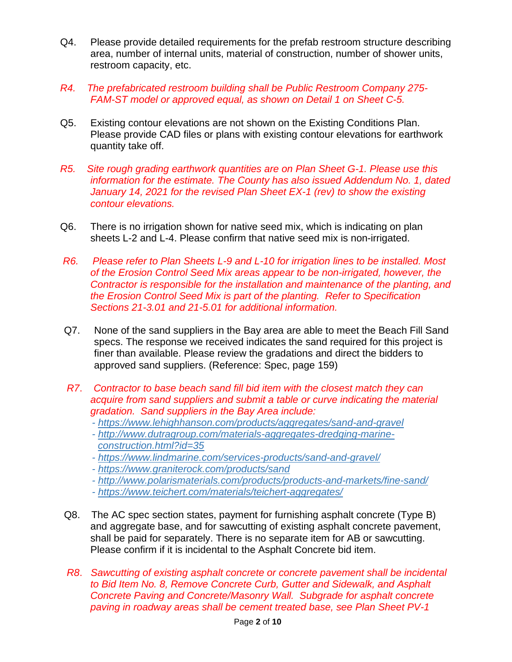- Q4. Please provide detailed requirements for the prefab restroom structure describing area, number of internal units, material of construction, number of shower units, restroom capacity, etc.
- *R4. The prefabricated restroom building shall be Public Restroom Company 275- FAM-ST model or approved equal, as shown on Detail 1 on Sheet C-5.*
- Q5. Existing contour elevations are not shown on the Existing Conditions Plan. Please provide CAD files or plans with existing contour elevations for earthwork quantity take off.
- *R5. Site rough grading earthwork quantities are on Plan Sheet G-1. Please use this information for the estimate. The County has also issued Addendum No. 1, dated January 14, 2021 for the revised Plan Sheet EX-1 (rev) to show the existing contour elevations.*
- Q6. There is no irrigation shown for native seed mix, which is indicating on plan sheets L-2 and L-4. Please confirm that native seed mix is non-irrigated.
- *R6. Please refer to Plan Sheets L-9 and L-10 for irrigation lines to be installed. Most of the Erosion Control Seed Mix areas appear to be non-irrigated, however, the Contractor is responsible for the installation and maintenance of the planting, and the Erosion Control Seed Mix is part of the planting. Refer to Specification Sections 21-3.01 and 21-5.01 for additional information.*
- Q7. None of the sand suppliers in the Bay area are able to meet the Beach Fill Sand specs. The response we received indicates the sand required for this project is finer than available. Please review the gradations and direct the bidders to approved sand suppliers. (Reference: Spec, page 159)
- *R7*. *Contractor to base beach sand fill bid item with the closest match they can acquire from sand suppliers and submit a table or curve indicating the material gradation. Sand suppliers in the Bay Area include:*
	- *- [https://www.lehighhanson.com/products/aggregates/sand-and-gravel](https://protect-us.mimecast.com/s/OkNiCo2njRIJzrkVF1tsI_)*
	- *- [http://www.dutragroup.com/materials-aggregates-dredging-marine](https://protect-us.mimecast.com/s/n5bRCpYokwTP8n50fDrmLa)[construction.html?id=35](https://protect-us.mimecast.com/s/n5bRCpYokwTP8n50fDrmLa)*
	- *- [https://www.lindmarine.com/services-products/sand-and-gravel/](https://protect-us.mimecast.com/s/fF7YCqxplRIG589yuQ6yfT/)*
	- *- [https://www.graniterock.com/products/sand](https://protect-us.mimecast.com/s/7T27CrkqmZFXv8xRhyR7FQ)*
	- *- [http://www.polarismaterials.com/products/products-and-markets/fine-sand/](https://protect-us.mimecast.com/s/AnsGCv2x8qIo67vncooWQW/)*
	- *- [https://www.teichert.com/materials/teichert-aggregates/](https://protect-us.mimecast.com/s/6bKOCwpyK9cX1GoEh8C4aY/)*
- Q8. The AC spec section states, payment for furnishing asphalt concrete (Type B) and aggregate base, and for sawcutting of existing asphalt concrete pavement, shall be paid for separately. There is no separate item for AB or sawcutting. Please confirm if it is incidental to the Asphalt Concrete bid item.
- *R8*. *Sawcutting of existing asphalt concrete or concrete pavement shall be incidental to Bid Item No. 8, Remove Concrete Curb, Gutter and Sidewalk, and Asphalt Concrete Paving and Concrete/Masonry Wall. Subgrade for asphalt concrete paving in roadway areas shall be cement treated base, see Plan Sheet PV-1*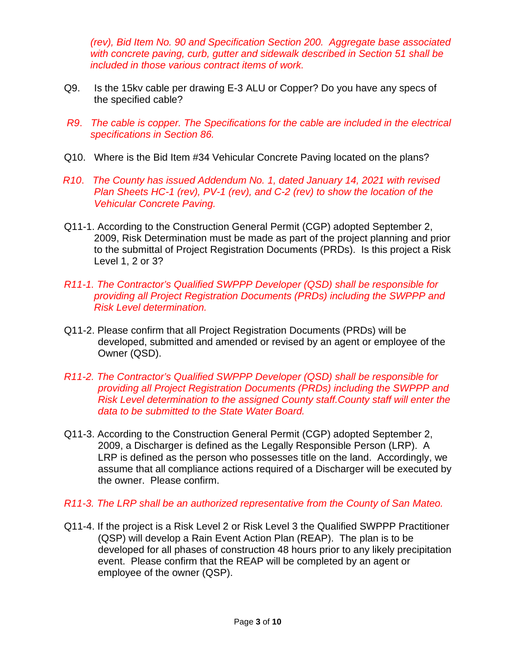*(rev), Bid Item No. 90 and Specification Section 200. Aggregate base associated with concrete paving, curb, gutter and sidewalk described in Section 51 shall be included in those various contract items of work.*

- Q9. Is the 15kv cable per drawing E-3 ALU or Copper? Do you have any specs of the specified cable?
- *R9*. *The cable is copper. The Specifications for the cable are included in the electrical specifications in Section 86.*
- Q10. Where is the Bid Item #34 Vehicular Concrete Paving located on the plans?
- *R10*. *The County has issued Addendum No. 1, dated January 14, 2021 with revised Plan Sheets HC-1 (rev), PV-1 (rev), and C-2 (rev) to show the location of the Vehicular Concrete Paving.*
- Q11-1. According to the Construction General Permit (CGP) adopted September 2, 2009, Risk Determination must be made as part of the project planning and prior to the submittal of Project Registration Documents (PRDs). Is this project a Risk Level 1, 2 or 3?
- *R11-1. The Contractor's Qualified SWPPP Developer (QSD) shall be responsible for providing all Project Registration Documents (PRDs) including the SWPPP and Risk Level determination.*
- Q11-2. Please confirm that all Project Registration Documents (PRDs) will be developed, submitted and amended or revised by an agent or employee of the Owner (QSD).
- *R11-2. The Contractor's Qualified SWPPP Developer (QSD) shall be responsible for providing all Project Registration Documents (PRDs) including the SWPPP and Risk Level determination to the assigned County staff.County staff will enter the data to be submitted to the State Water Board.*
- Q11-3. According to the Construction General Permit (CGP) adopted September 2, 2009, a Discharger is defined as the Legally Responsible Person (LRP). A LRP is defined as the person who possesses title on the land. Accordingly, we assume that all compliance actions required of a Discharger will be executed by the owner. Please confirm.
- *R11-3. The LRP shall be an authorized representative from the County of San Mateo.*
- Q11-4. If the project is a Risk Level 2 or Risk Level 3 the Qualified SWPPP Practitioner (QSP) will develop a Rain Event Action Plan (REAP). The plan is to be developed for all phases of construction 48 hours prior to any likely precipitation event. Please confirm that the REAP will be completed by an agent or employee of the owner (QSP).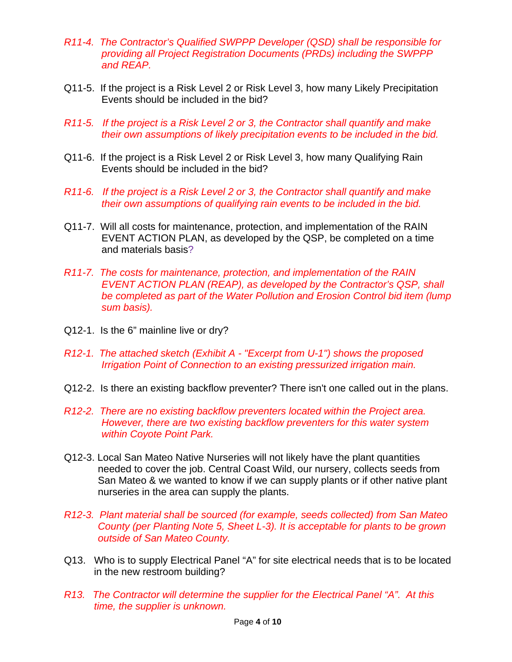- *R11-4. The Contractor's Qualified SWPPP Developer (QSD) shall be responsible for providing all Project Registration Documents (PRDs) including the SWPPP and REAP.*
- Q11-5. If the project is a Risk Level 2 or Risk Level 3, how many Likely Precipitation Events should be included in the bid?
- *R11-5. If the project is a Risk Level 2 or 3, the Contractor shall quantify and make their own assumptions of likely precipitation events to be included in the bid.*
- Q11-6. If the project is a Risk Level 2 or Risk Level 3, how many Qualifying Rain Events should be included in the bid?
- *R11-6. If the project is a Risk Level 2 or 3, the Contractor shall quantify and make their own assumptions of qualifying rain events to be included in the bid.*
- Q11-7. Will all costs for maintenance, protection, and implementation of the RAIN EVENT ACTION PLAN, as developed by the QSP, be completed on a time and materials basis?
- *R11-7. The costs for maintenance, protection, and implementation of the RAIN EVENT ACTION PLAN (REAP), as developed by the Contractor's QSP, shall be completed as part of the Water Pollution and Erosion Control bid item (lump sum basis).*
- Q12-1. Is the 6" mainline live or dry?
- *R12-1. The attached sketch (Exhibit A - "Excerpt from U-1") shows the proposed Irrigation Point of Connection to an existing pressurized irrigation main.*
- Q12-2. Is there an existing backflow preventer? There isn't one called out in the plans.
- *R12-2. There are no existing backflow preventers located within the Project area. However, there are two existing backflow preventers for this water system within Coyote Point Park.*
- Q12-3. Local San Mateo Native Nurseries will not likely have the plant quantities needed to cover the job. Central Coast Wild, our nursery, collects seeds from San Mateo & we wanted to know if we can supply plants or if other native plant nurseries in the area can supply the plants.
- *R12-3. Plant material shall be sourced (for example, seeds collected) from San Mateo County (per Planting Note 5, Sheet L-3). It is acceptable for plants to be grown outside of San Mateo County.*
- Q13. Who is to supply Electrical Panel "A" for site electrical needs that is to be located in the new restroom building?
- *R13. The Contractor will determine the supplier for the Electrical Panel "A". At this time, the supplier is unknown.*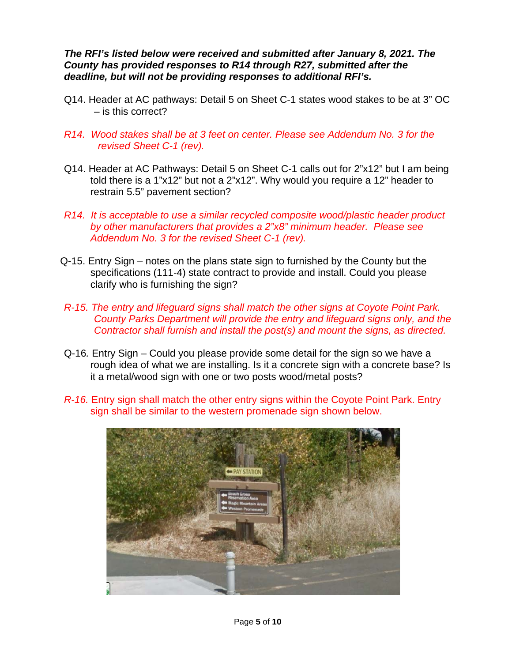*The RFI's listed below were received and submitted after January 8, 2021. The County has provided responses to R14 through R27, submitted after the deadline, but will not be providing responses to additional RFI's.*

- Q14. Header at AC pathways: Detail 5 on Sheet C-1 states wood stakes to be at 3" OC – is this correct?
- *R14. Wood stakes shall be at 3 feet on center. Please see Addendum No. 3 for the revised Sheet C-1 (rev).*
- Q14. Header at AC Pathways: Detail 5 on Sheet C-1 calls out for 2"x12" but I am being told there is a 1"x12" but not a 2"x12". Why would you require a 12" header to restrain 5.5" pavement section?
- *R14. It is acceptable to use a similar recycled composite wood/plastic header product by other manufacturers that provides a 2"x8" minimum header. Please see Addendum No. 3 for the revised Sheet C-1 (rev).*
- Q-15. Entry Sign notes on the plans state sign to furnished by the County but the specifications (111-4) state contract to provide and install. Could you please clarify who is furnishing the sign?
- *R-15. The entry and lifeguard signs shall match the other signs at Coyote Point Park. County Parks Department will provide the entry and lifeguard signs only, and the Contractor shall furnish and install the post(s) and mount the signs, as directed.*
- Q-16*.* Entry Sign Could you please provide some detail for the sign so we have a rough idea of what we are installing. Is it a concrete sign with a concrete base? Is it a metal/wood sign with one or two posts wood/metal posts?
- *R-16.* Entry sign shall match the other entry signs within the Coyote Point Park. Entry sign shall be similar to the western promenade sign shown below.

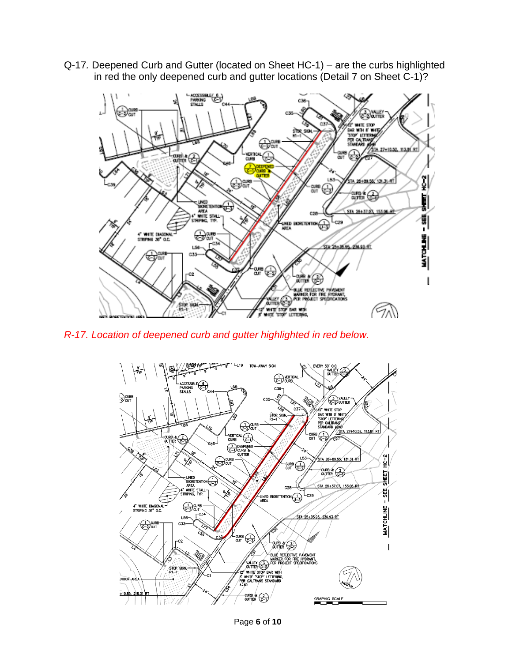Q-17*.* Deepened Curb and Gutter (located on Sheet HC-1) – are the curbs highlighted in red the only deepened curb and gutter locations (Detail 7 on Sheet C-1)?



*R-17. Location of deepened curb and gutter highlighted in red below.*



Page **6** of **10**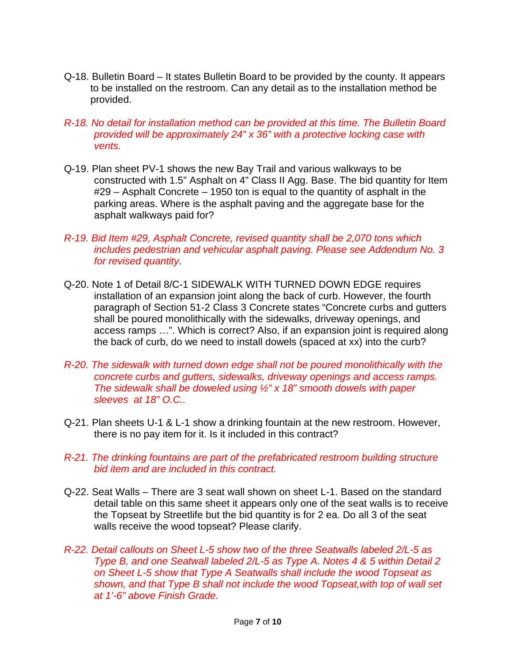- Q-18. Bulletin Board It states Bulletin Board to be provided by the county. It appears to be installed on the restroom. Can any detail as to the installation method be provided.
- *R-18. No detail for installation method can be provided at this time. The Bulletin Board provided will be approximately 24" x 36" with a protective locking case with vents.*
- Q-19. Plan sheet PV-1 shows the new Bay Trail and various walkways to be constructed with 1.5" Asphalt on 4" Class II Agg. Base. The bid quantity for Item #29 – Asphalt Concrete – 1950 ton is equal to the quantity of asphalt in the parking areas. Where is the asphalt paving and the aggregate base for the asphalt walkways paid for?
- *R-19. Bid Item #29, Asphalt Concrete, revised quantity shall be 2,070 tons which includes pedestrian and vehicular asphalt paving. Please see Addendum No. 3 for revised quantity*.
- Q-20. Note 1 of Detail 8/C-1 SIDEWALK WITH TURNED DOWN EDGE requires installation of an expansion joint along the back of curb. However, the fourth paragraph of Section 51-2 Class 3 Concrete states "Concrete curbs and gutters shall be poured monolithically with the sidewalks, driveway openings, and access ramps …". Which is correct? Also, if an expansion joint is required along the back of curb, do we need to install dowels (spaced at xx) into the curb?
- *R-20. The sidewalk with turned down edge shall not be poured monolithically with the concrete curbs and gutters, sidewalks, driveway openings and access ramps. The sidewalk shall be doweled using ½" x 18" smooth dowels with paper sleeves at 18" O.C..*
- Q-21. Plan sheets U-1 & L-1 show a drinking fountain at the new restroom. However, there is no pay item for it. Is it included in this contract?
- *R-21. The drinking fountains are part of the prefabricated restroom building structure bid item and are included in this contract.*
- Q-22. Seat Walls There are 3 seat wall shown on sheet L-1. Based on the standard detail table on this same sheet it appears only one of the seat walls is to receive the Topseat by Streetlife but the bid quantity is for 2 ea. Do all 3 of the seat walls receive the wood topseat? Please clarify.
- *R-22. Detail callouts on Sheet L-5 show two of the three Seatwalls labeled 2/L-5 as Type B, and one Seatwall labeled 2/L-5 as Type A. Notes 4 & 5 within Detail 2 on Sheet L-5 show that Type A Seatwalls shall include the wood Topseat as shown, and that Type B shall not include the wood Topseat,with top of wall set at 1'-6" above Finish Grade.*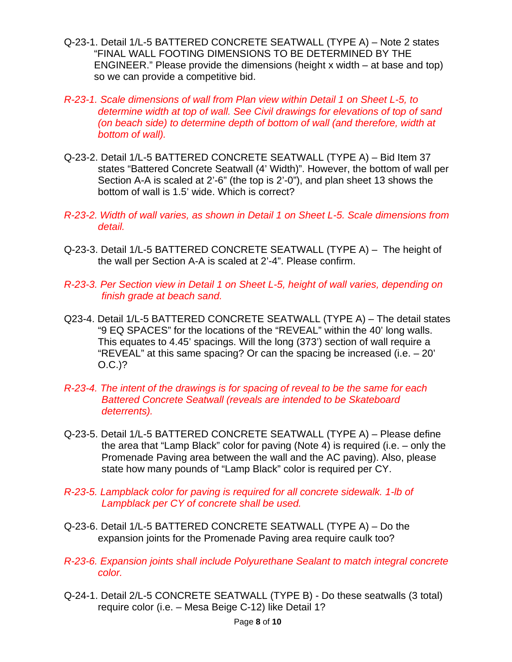- Q-23-1. Detail 1/L-5 BATTERED CONCRETE SEATWALL (TYPE A) Note 2 states "FINAL WALL FOOTING DIMENSIONS TO BE DETERMINED BY THE ENGINEER." Please provide the dimensions (height x width – at base and top) so we can provide a competitive bid.
- *R-23-1. Scale dimensions of wall from Plan view within Detail 1 on Sheet L-5, to determine width at top of wall. See Civil drawings for elevations of top of sand (on beach side) to determine depth of bottom of wall (and therefore, width at bottom of wall).*
- Q-23-2. Detail 1/L-5 BATTERED CONCRETE SEATWALL (TYPE A) Bid Item 37 states "Battered Concrete Seatwall (4' Width)". However, the bottom of wall per Section A-A is scaled at 2'-6" (the top is 2'-0"), and plan sheet 13 shows the bottom of wall is 1.5' wide. Which is correct?
- *R-23-2. Width of wall varies, as shown in Detail 1 on Sheet L-5. Scale dimensions from detail.*
- Q-23-3. Detail 1/L-5 BATTERED CONCRETE SEATWALL (TYPE A) The height of the wall per Section A-A is scaled at 2'-4". Please confirm.
- *R-23-3. Per Section view in Detail 1 on Sheet L-5, height of wall varies, depending on finish grade at beach sand.*
- Q23-4. Detail 1/L-5 BATTERED CONCRETE SEATWALL (TYPE A) The detail states "9 EQ SPACES" for the locations of the "REVEAL" within the 40' long walls. This equates to 4.45' spacings. Will the long (373') section of wall require a "REVEAL" at this same spacing? Or can the spacing be increased (i.e. – 20' O.C.)?
- *R-23-4. The intent of the drawings is for spacing of reveal to be the same for each Battered Concrete Seatwall (reveals are intended to be Skateboard deterrents).*
- Q-23-5. Detail 1/L-5 BATTERED CONCRETE SEATWALL (TYPE A) Please define the area that "Lamp Black" color for paving (Note 4) is required (i.e. – only the Promenade Paving area between the wall and the AC paving). Also, please state how many pounds of "Lamp Black" color is required per CY.
- *R-23-5. Lampblack color for paving is required for all concrete sidewalk. 1-lb of Lampblack per CY of concrete shall be used.*
- Q-23-6. Detail 1/L-5 BATTERED CONCRETE SEATWALL (TYPE A) Do the expansion joints for the Promenade Paving area require caulk too?
- *R-23-6. Expansion joints shall include Polyurethane Sealant to match integral concrete color.*
- Q-24-1. Detail 2/L-5 CONCRETE SEATWALL (TYPE B) Do these seatwalls (3 total) require color (i.e. – Mesa Beige C-12) like Detail 1?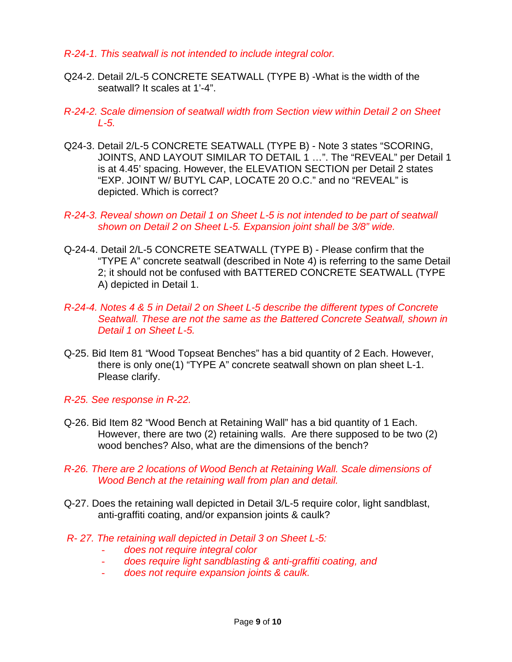### *R-24-1. This seatwall is not intended to include integral color.*

- Q24-2. Detail 2/L-5 CONCRETE SEATWALL (TYPE B) -What is the width of the seatwall? It scales at 1'-4".
- *R-24-2. Scale dimension of seatwall width from Section view within Detail 2 on Sheet L-5.*
- Q24-3. Detail 2/L-5 CONCRETE SEATWALL (TYPE B) Note 3 states "SCORING, JOINTS, AND LAYOUT SIMILAR TO DETAIL 1 ...". The "REVEAL" per Detail 1 is at 4.45' spacing. However, the ELEVATION SECTION per Detail 2 states "EXP. JOINT W/ BUTYL CAP, LOCATE 20 O.C." and no "REVEAL" is depicted. Which is correct?
- *R-24-3. Reveal shown on Detail 1 on Sheet L-5 is not intended to be part of seatwall shown on Detail 2 on Sheet L-5. Expansion joint shall be 3/8" wide.*
- Q-24-4. Detail 2/L-5 CONCRETE SEATWALL (TYPE B) Please confirm that the "TYPE A" concrete seatwall (described in Note 4) is referring to the same Detail 2; it should not be confused with BATTERED CONCRETE SEATWALL (TYPE A) depicted in Detail 1.
- *R-24-4. Notes 4 & 5 in Detail 2 on Sheet L-5 describe the different types of Concrete Seatwall. These are not the same as the Battered Concrete Seatwall, shown in Detail 1 on Sheet L-5.*
- Q-25. Bid Item 81 "Wood Topseat Benches" has a bid quantity of 2 Each. However, there is only one(1) "TYPE A" concrete seatwall shown on plan sheet L-1. Please clarify.
- *R-25. See response in R-22.*
- Q-26. Bid Item 82 "Wood Bench at Retaining Wall" has a bid quantity of 1 Each. However, there are two (2) retaining walls. Are there supposed to be two (2) wood benches? Also, what are the dimensions of the bench?
- *R-26. There are 2 locations of Wood Bench at Retaining Wall. Scale dimensions of Wood Bench at the retaining wall from plan and detail.*
- Q-27. Does the retaining wall depicted in Detail 3/L-5 require color, light sandblast, anti-graffiti coating, and/or expansion joints & caulk?
- *R- 27. The retaining wall depicted in Detail 3 on Sheet L-5:* 
	- *does not require integral color*
	- *does require light sandblasting & anti-graffiti coating, and*
	- *does not require expansion joints & caulk.*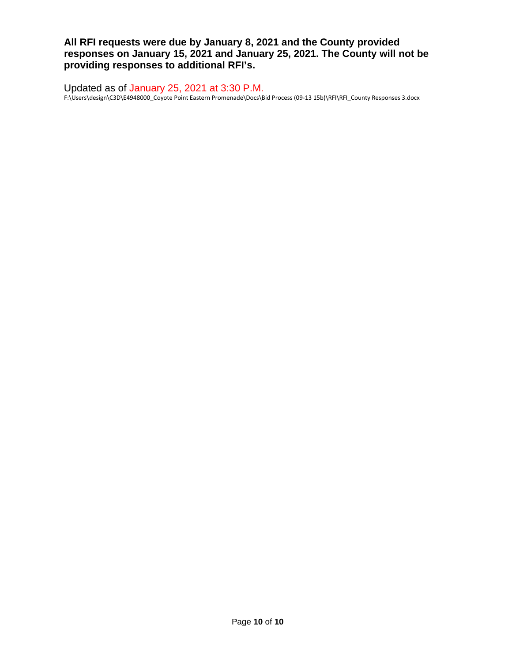**All RFI requests were due by January 8, 2021 and the County provided responses on January 15, 2021 and January 25, 2021. The County will not be providing responses to additional RFI's.**

Updated as of January 25, 2021 at 3:30 P.M. F:\Users\design\C3D\E4948000\_Coyote Point Eastern Promenade\Docs\Bid Process (09-13 15b)\RFI\RFI\_County Responses 3.docx